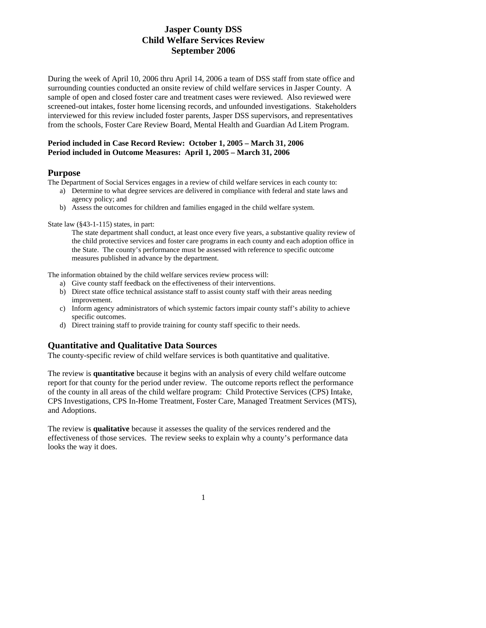During the week of April 10, 2006 thru April 14, 2006 a team of DSS staff from state office and surrounding counties conducted an onsite review of child welfare services in Jasper County. A sample of open and closed foster care and treatment cases were reviewed. Also reviewed were screened-out intakes, foster home licensing records, and unfounded investigations. Stakeholders interviewed for this review included foster parents, Jasper DSS supervisors, and representatives from the schools, Foster Care Review Board, Mental Health and Guardian Ad Litem Program.

#### **Period included in Case Record Review: October 1, 2005 – March 31, 2006 Period included in Outcome Measures: April 1, 2005 – March 31, 2006**

#### **Purpose**

The Department of Social Services engages in a review of child welfare services in each county to:

- a) Determine to what degree services are delivered in compliance with federal and state laws and agency policy; and
- b) Assess the outcomes for children and families engaged in the child welfare system.

State law (§43-1-115) states, in part:

The state department shall conduct, at least once every five years, a substantive quality review of the child protective services and foster care programs in each county and each adoption office in the State. The county's performance must be assessed with reference to specific outcome measures published in advance by the department.

The information obtained by the child welfare services review process will:

- a) Give county staff feedback on the effectiveness of their interventions.
- b) Direct state office technical assistance staff to assist county staff with their areas needing improvement.
- c) Inform agency administrators of which systemic factors impair county staff's ability to achieve specific outcomes.
- d) Direct training staff to provide training for county staff specific to their needs.

### **Quantitative and Qualitative Data Sources**

The county-specific review of child welfare services is both quantitative and qualitative.

The review is **quantitative** because it begins with an analysis of every child welfare outcome report for that county for the period under review. The outcome reports reflect the performance of the county in all areas of the child welfare program: Child Protective Services (CPS) Intake, CPS Investigations, CPS In-Home Treatment, Foster Care, Managed Treatment Services (MTS), and Adoptions.

The review is **qualitative** because it assesses the quality of the services rendered and the effectiveness of those services. The review seeks to explain why a county's performance data looks the way it does.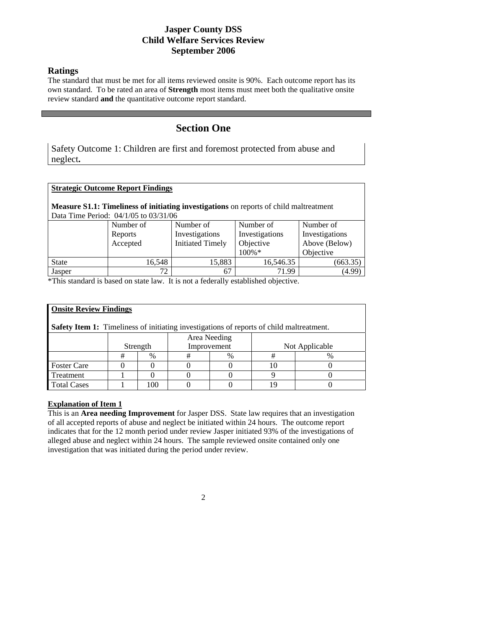### **Ratings**

L

The standard that must be met for all items reviewed onsite is 90%. Each outcome report has its own standard. To be rated an area of **Strength** most items must meet both the qualitative onsite review standard **and** the quantitative outcome report standard.

# **Section One**

Safety Outcome 1: Children are first and foremost protected from abuse and neglect**.** 

| <b>Strategic Outcome Report Findings</b>                                                                                               |           |                         |                |                |  |  |  |  |  |  |
|----------------------------------------------------------------------------------------------------------------------------------------|-----------|-------------------------|----------------|----------------|--|--|--|--|--|--|
| <b>Measure S1.1: Timeliness of initiating investigations</b> on reports of child maltreatment<br>Data Time Period: 04/1/05 to 03/31/06 |           |                         |                |                |  |  |  |  |  |  |
|                                                                                                                                        | Number of | Number of               | Number of      | Number of      |  |  |  |  |  |  |
|                                                                                                                                        | Reports   | Investigations          | Investigations | Investigations |  |  |  |  |  |  |
|                                                                                                                                        | Accepted  | <b>Initiated Timely</b> | Objective      | Above (Below)  |  |  |  |  |  |  |
|                                                                                                                                        |           |                         | 100%*          | Objective      |  |  |  |  |  |  |
| <b>State</b>                                                                                                                           | 16.548    | 15,883                  | 16,546.35      | (663.35)       |  |  |  |  |  |  |
| Jasper                                                                                                                                 | 72        | 67                      | 71.99          | (4.99)         |  |  |  |  |  |  |

\*This standard is based on state law. It is not a federally established objective.

| <b>Onsite Review Findings</b>                                                                   |              |                         |   |      |                |   |  |  |  |  |  |
|-------------------------------------------------------------------------------------------------|--------------|-------------------------|---|------|----------------|---|--|--|--|--|--|
| <b>Safety Item 1:</b> Timeliness of initiating investigations of reports of child maltreatment. |              |                         |   |      |                |   |  |  |  |  |  |
|                                                                                                 | Area Needing |                         |   |      |                |   |  |  |  |  |  |
|                                                                                                 |              | Strength<br>Improvement |   |      | Not Applicable |   |  |  |  |  |  |
|                                                                                                 | #            | $\%$                    | # | $\%$ |                | % |  |  |  |  |  |
| <b>Foster Care</b>                                                                              |              |                         |   |      |                |   |  |  |  |  |  |
| Treatment                                                                                       |              |                         |   |      |                |   |  |  |  |  |  |
| <b>Total Cases</b>                                                                              |              | 100                     |   |      |                |   |  |  |  |  |  |

### **Explanation of Item 1**

This is an **Area needing Improvement** for Jasper DSS. State law requires that an investigation of all accepted reports of abuse and neglect be initiated within 24 hours. The outcome report indicates that for the 12 month period under review Jasper initiated 93% of the investigations of alleged abuse and neglect within 24 hours. The sample reviewed onsite contained only one investigation that was initiated during the period under review.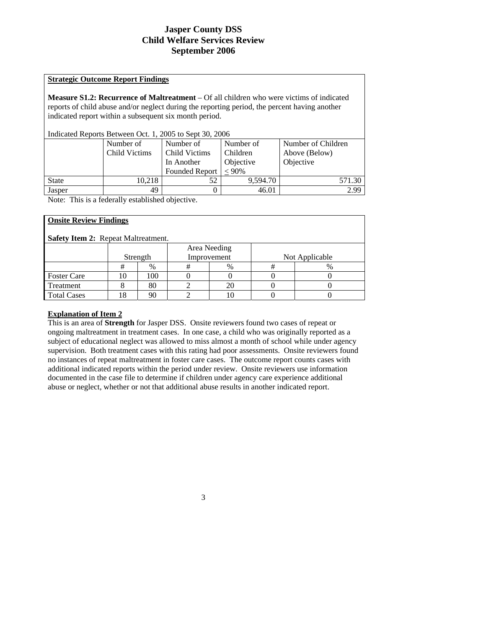#### **Strategic Outcome Report Findings**

**Measure S1.2: Recurrence of Maltreatment** – Of all children who were victims of indicated reports of child abuse and/or neglect during the reporting period, the percent having another indicated report within a subsequent six month period.

Indicated Reports Between Oct. 1, 2005 to Sept 30, 2006

|              | Number of<br>Child Victims | Number of<br>Child Victims          | Number of<br>Children | Number of Children<br>Above (Below) |
|--------------|----------------------------|-------------------------------------|-----------------------|-------------------------------------|
|              |                            | In Another<br><b>Founded Report</b> | Objective<br>$< 90\%$ | Objective                           |
| <b>State</b> | 10.218                     | 52                                  | 9.594.70              | 571.30                              |
| Jasper       | 49                         |                                     | 46.01                 | 2.99                                |

Note: This is a federally established objective.

| <b>Onsite Review Findings</b>              |    |          |             |                |   |      |  |  |  |  |  |
|--------------------------------------------|----|----------|-------------|----------------|---|------|--|--|--|--|--|
| <b>Safety Item 2: Repeat Maltreatment.</b> |    |          |             |                |   |      |  |  |  |  |  |
| Area Needing                               |    |          |             |                |   |      |  |  |  |  |  |
|                                            |    | Strength | Improvement | Not Applicable |   |      |  |  |  |  |  |
|                                            | #  | %        | #           | $\%$           | # | $\%$ |  |  |  |  |  |
| <b>Foster Care</b>                         | 10 | 100      |             |                |   |      |  |  |  |  |  |
| Treatment                                  |    | 80       |             | 20             |   |      |  |  |  |  |  |
| <b>Total Cases</b>                         | 18 | 90       |             |                |   |      |  |  |  |  |  |

### **Explanation of Item 2**

This is an area of **Strength** for Jasper DSS. Onsite reviewers found two cases of repeat or ongoing maltreatment in treatment cases. In one case, a child who was originally reported as a subject of educational neglect was allowed to miss almost a month of school while under agency supervision. Both treatment cases with this rating had poor assessments. Onsite reviewers found no instances of repeat maltreatment in foster care cases. The outcome report counts cases with additional indicated reports within the period under review. Onsite reviewers use information documented in the case file to determine if children under agency care experience additional abuse or neglect, whether or not that additional abuse results in another indicated report.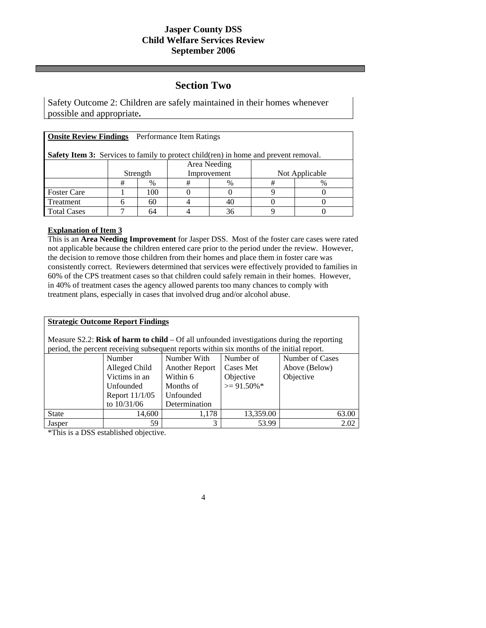## **Section Two**

Safety Outcome 2: Children are safely maintained in their homes whenever possible and appropriate**.** 

| <b>Onsite Review Findings</b> Performance Item Ratings                                      |          |     |             |      |                |   |  |  |  |
|---------------------------------------------------------------------------------------------|----------|-----|-------------|------|----------------|---|--|--|--|
| <b>Safety Item 3:</b> Services to family to protect child(ren) in home and prevent removal. |          |     |             |      |                |   |  |  |  |
| Area Needing                                                                                |          |     |             |      |                |   |  |  |  |
|                                                                                             | Strength |     | Improvement |      | Not Applicable |   |  |  |  |
|                                                                                             | #        | %   | #           | $\%$ | #              | % |  |  |  |
| <b>Foster Care</b>                                                                          |          | 100 |             |      |                |   |  |  |  |
| Treatment                                                                                   |          | 60  |             |      |                |   |  |  |  |
| <b>Total Cases</b>                                                                          |          | 64  |             | 36   |                |   |  |  |  |

### **Explanation of Item 3**

This is an **Area Needing Improvement** for Jasper DSS. Most of the foster care cases were rated not applicable because the children entered care prior to the period under the review. However, the decision to remove those children from their homes and place them in foster care was consistently correct. Reviewers determined that services were effectively provided to families in 60% of the CPS treatment cases so that children could safely remain in their homes. However, in 40% of treatment cases the agency allowed parents too many chances to comply with treatment plans, especially in cases that involved drug and/or alcohol abuse.

| <b>Strategic Outcome Report Findings</b>                                                                                                                                                  |                                                       |                |                |               |  |  |  |  |  |  |
|-------------------------------------------------------------------------------------------------------------------------------------------------------------------------------------------|-------------------------------------------------------|----------------|----------------|---------------|--|--|--|--|--|--|
| Measure S2.2: Risk of harm to child $-$ Of all unfounded investigations during the reporting<br>period, the percent receiving subsequent reports within six months of the initial report. |                                                       |                |                |               |  |  |  |  |  |  |
|                                                                                                                                                                                           | Number of Cases<br>Number<br>Number With<br>Number of |                |                |               |  |  |  |  |  |  |
|                                                                                                                                                                                           | Alleged Child                                         | Another Report | Cases Met      | Above (Below) |  |  |  |  |  |  |
|                                                                                                                                                                                           | Victims in an                                         | Within 6       | Objective      | Objective     |  |  |  |  |  |  |
|                                                                                                                                                                                           | Unfounded                                             | Months of      | $\geq$ 91.50%* |               |  |  |  |  |  |  |
|                                                                                                                                                                                           | Report 11/1/05                                        | Unfounded      |                |               |  |  |  |  |  |  |
|                                                                                                                                                                                           | to $10/31/06$                                         | Determination  |                |               |  |  |  |  |  |  |
| <b>State</b>                                                                                                                                                                              | 14,600                                                | 1,178          | 13,359.00      | 63.00         |  |  |  |  |  |  |
| Jasper                                                                                                                                                                                    | 59                                                    | 3              | 53.99          | 2.02          |  |  |  |  |  |  |

4

\*This is a DSS established objective.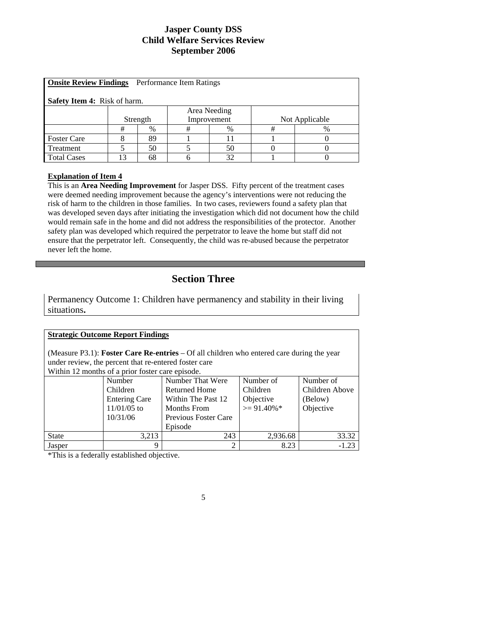| <b>Onsite Review Findings</b> Performance Item Ratings |    |          |             |      |   |                |  |  |  |  |
|--------------------------------------------------------|----|----------|-------------|------|---|----------------|--|--|--|--|
| <b>Safety Item 4:</b> Risk of harm.                    |    |          |             |      |   |                |  |  |  |  |
| Area Needing                                           |    |          |             |      |   |                |  |  |  |  |
|                                                        |    | Strength | Improvement |      |   | Not Applicable |  |  |  |  |
|                                                        | #  | $\%$     | #           | $\%$ | # | $\%$           |  |  |  |  |
| <b>Foster Care</b>                                     |    | 89       |             | 11   |   |                |  |  |  |  |
| Treatment                                              |    | 50       |             | 50   |   |                |  |  |  |  |
| <b>Total Cases</b>                                     | 13 | 68       |             | 32   |   |                |  |  |  |  |

#### **Explanation of Item 4**

This is an **Area Needing Improvement** for Jasper DSS. Fifty percent of the treatment cases were deemed needing improvement because the agency's interventions were not reducing the risk of harm to the children in those families. In two cases, reviewers found a safety plan that was developed seven days after initiating the investigation which did not document how the child would remain safe in the home and did not address the responsibilities of the protector. Another safety plan was developed which required the perpetrator to leave the home but staff did not ensure that the perpetrator left. Consequently, the child was re-abused because the perpetrator never left the home.

# **Section Three**

Permanency Outcome 1: Children have permanency and stability in their living situations**.** 

| <b>Strategic Outcome Report Findings</b>                                                         |                                                       |                                            |                 |                |  |  |  |  |  |
|--------------------------------------------------------------------------------------------------|-------------------------------------------------------|--------------------------------------------|-----------------|----------------|--|--|--|--|--|
| (Measure P3.1): <b>Foster Care Re-entries</b> – Of all children who entered care during the year |                                                       |                                            |                 |                |  |  |  |  |  |
|                                                                                                  | under review, the percent that re-entered foster care |                                            |                 |                |  |  |  |  |  |
|                                                                                                  | Within 12 months of a prior foster care episode.      |                                            |                 |                |  |  |  |  |  |
|                                                                                                  | Number                                                | Number of<br>Number of<br>Number That Were |                 |                |  |  |  |  |  |
|                                                                                                  | <b>Children</b>                                       | Returned Home                              | <b>Children</b> | Children Above |  |  |  |  |  |
|                                                                                                  | <b>Entering Care</b>                                  | Within The Past 12                         | Objective       | (Below)        |  |  |  |  |  |
|                                                                                                  | $11/01/05$ to                                         | Months From                                | $\geq$ 91.40%*  | Objective      |  |  |  |  |  |
|                                                                                                  | 10/31/06                                              | Previous Foster Care                       |                 |                |  |  |  |  |  |
|                                                                                                  |                                                       | Episode                                    |                 |                |  |  |  |  |  |
| <b>State</b>                                                                                     | 3,213                                                 | 243                                        | 2,936.68        | 33.32          |  |  |  |  |  |
| Jasper                                                                                           | 9                                                     | $\mathfrak{D}$                             | 8.23            | -1.23          |  |  |  |  |  |

\*This is a federally established objective.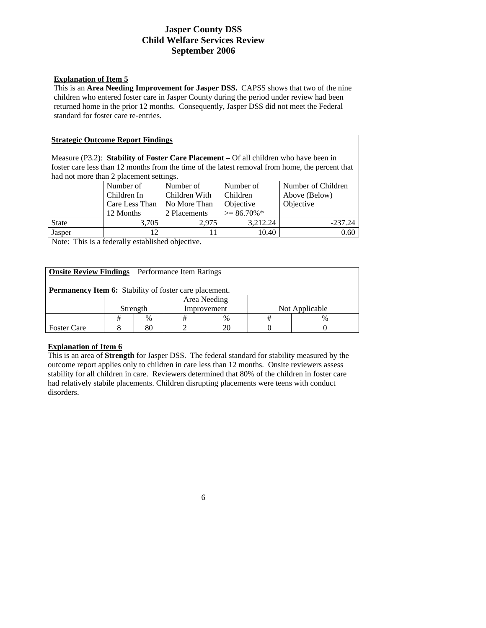#### **Explanation of Item 5**

This is an **Area Needing Improvement for Jasper DSS.** CAPSS shows that two of the nine children who entered foster care in Jasper County during the period under review had been returned home in the prior 12 months. Consequently, Jasper DSS did not meet the Federal standard for foster care re-entries.

#### **Strategic Outcome Report Findings**

Measure (P3.2): **Stability of Foster Care Placement** – Of all children who have been in foster care less than 12 months from the time of the latest removal from home, the percent that had not more than 2 placement settings.

|              | Number of      | Number of                 | Number of      | Number of Children |  |  |  |  |  |
|--------------|----------------|---------------------------|----------------|--------------------|--|--|--|--|--|
|              | Children In    | Children With             | Children       | Above (Below)      |  |  |  |  |  |
|              | Care Less Than | No More Than<br>Objective |                | Objective          |  |  |  |  |  |
|              | 12 Months      | 2 Placements              | $\geq$ 86.70%* |                    |  |  |  |  |  |
| <b>State</b> | 3.705          | 2.975                     | 3.212.24       | $-237.24$          |  |  |  |  |  |
| Jasper       |                |                           | 10.40          | 0.60               |  |  |  |  |  |

Note: This is a federally established objective.

| <b>Onsite Review Findings</b> Performance Item Ratings        |              |          |      |             |  |                |  |  |  |  |
|---------------------------------------------------------------|--------------|----------|------|-------------|--|----------------|--|--|--|--|
| <b>Permanency Item 6:</b> Stability of foster care placement. |              |          |      |             |  |                |  |  |  |  |
|                                                               | Area Needing |          |      |             |  |                |  |  |  |  |
|                                                               |              | Strength |      | Improvement |  | Not Applicable |  |  |  |  |
|                                                               | #            | $\%$     | $\%$ |             |  | $\%$           |  |  |  |  |
| <b>Foster Care</b>                                            |              | 80       |      |             |  |                |  |  |  |  |

#### **Explanation of Item 6**

This is an area of **Strength** for Jasper DSS. The federal standard for stability measured by the outcome report applies only to children in care less than 12 months. Onsite reviewers assess stability for all children in care. Reviewers determined that 80% of the children in foster care had relatively stabile placements. Children disrupting placements were teens with conduct disorders.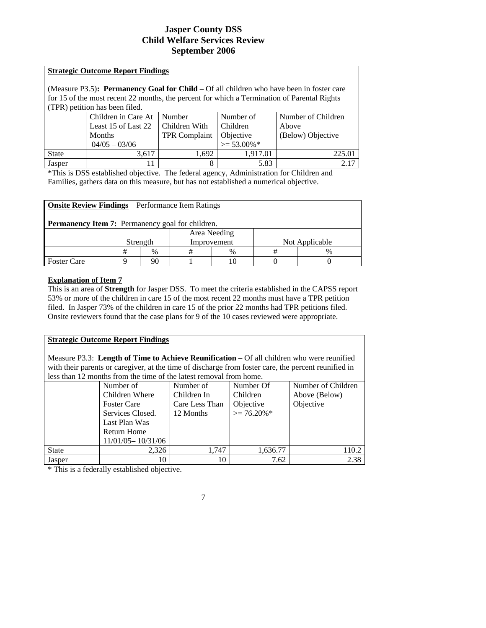# **Strategic Outcome Report Findings** (Measure P3.5)**: Permanency Goal for Child** – Of all children who have been in foster care for 15 of the most recent 22 months, the percent for which a Termination of Parental Rights (TPR) petition has been filed.

|              | Children in Care At   Number |               | Number of        | Number of Children |
|--------------|------------------------------|---------------|------------------|--------------------|
|              | Least 15 of Last 22          | Children With | Children         | Above              |
|              | Months                       | TPR Complaint | Objective        | (Below) Objective  |
|              | $04/05 - 03/06$              |               | $\geq 53.00\%$ * |                    |
| <b>State</b> | 3.617                        | 1,692         | 1.917.01         | 225.01             |
| Jasper       |                              |               | 5.83             |                    |

\*This is DSS established objective. The federal agency, Administration for Children and Families, gathers data on this measure, but has not established a numerical objective.

| <b>Onsite Review Findings</b> Performance Item Ratings  |                                           |    |   |      |   |               |  |  |  |
|---------------------------------------------------------|-------------------------------------------|----|---|------|---|---------------|--|--|--|
| <b>Permanency Item 7:</b> Permanency goal for children. |                                           |    |   |      |   |               |  |  |  |
|                                                         | Area Needing                              |    |   |      |   |               |  |  |  |
|                                                         | Improvement<br>Not Applicable<br>Strength |    |   |      |   |               |  |  |  |
|                                                         | #                                         | %  | # | $\%$ | # | $\frac{0}{0}$ |  |  |  |
| <b>Foster Care</b>                                      |                                           | 90 |   | 10   |   |               |  |  |  |

### **Explanation of Item 7**

This is an area of **Strength** for Jasper DSS. To meet the criteria established in the CAPSS report 53% or more of the children in care 15 of the most recent 22 months must have a TPR petition filed. In Jasper 73% of the children in care 15 of the prior 22 months had TPR petitions filed. Onsite reviewers found that the case plans for 9 of the 10 cases reviewed were appropriate.

## **Strategic Outcome Report Findings**

Measure P3.3: **Length of Time to Achieve Reunification** – Of all children who were reunified with their parents or caregiver, at the time of discharge from foster care, the percent reunified in less than 12 months from the time of the latest removal from home.

|              | Number of             | Number of      | Number Of      | Number of Children |
|--------------|-----------------------|----------------|----------------|--------------------|
|              | Children Where        | Children In    | Children       | Above (Below)      |
|              | <b>Foster Care</b>    | Care Less Than | Objective      | Objective          |
|              | Services Closed.      | 12 Months      | $\geq$ 76.20%* |                    |
|              | Last Plan Was         |                |                |                    |
|              | <b>Return Home</b>    |                |                |                    |
|              | $11/01/05 - 10/31/06$ |                |                |                    |
| <b>State</b> | 2,326                 | 1.747          | 1,636.77       | 110.2              |
| Jasper       | 10                    | 10             | 7.62           | 2.38               |

\* This is a federally established objective.

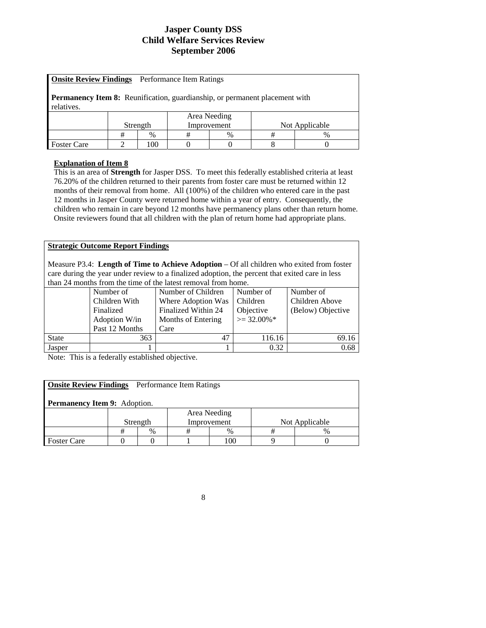| <b>Onsite Review Findings</b> Performance Item Ratings                                           |  |     |  |              |  |  |  |  |
|--------------------------------------------------------------------------------------------------|--|-----|--|--------------|--|--|--|--|
| <b>Permanency Item 8:</b> Reunification, guardianship, or permanent placement with<br>relatives. |  |     |  |              |  |  |  |  |
|                                                                                                  |  |     |  | Area Needing |  |  |  |  |
| Not Applicable<br>Strength<br>Improvement                                                        |  |     |  |              |  |  |  |  |
| #<br>#<br>$\frac{0}{0}$<br>#<br>$\%$<br>$\%$                                                     |  |     |  |              |  |  |  |  |
| <b>Foster Care</b>                                                                               |  | 100 |  |              |  |  |  |  |

## **Explanation of Item 8**

This is an area of **Strength** for Jasper DSS. To meet this federally established criteria at least 76.20% of the children returned to their parents from foster care must be returned within 12 months of their removal from home. All (100%) of the children who entered care in the past 12 months in Jasper County were returned home within a year of entry. Consequently, the children who remain in care beyond 12 months have permanency plans other than return home. Onsite reviewers found that all children with the plan of return home had appropriate plans.

#### **Strategic Outcome Report Findings**

Measure P3.4: **Length of Time to Achieve Adoption** – Of all children who exited from foster care during the year under review to a finalized adoption, the percent that exited care in less than 24 months from the time of the latest removal from home.

|              | <u>unii 21 iliyiniis fiyili ulv ulliy yi uly huyst felifo al ffyfif hyfiry.</u> |                     |                |                   |  |  |  |  |
|--------------|---------------------------------------------------------------------------------|---------------------|----------------|-------------------|--|--|--|--|
|              | Number of                                                                       | Number of Children  | Number of      | Number of         |  |  |  |  |
|              | Children With                                                                   | Where Adoption Was  | Children       | Children Above    |  |  |  |  |
|              | Finalized                                                                       | Finalized Within 24 | Objective      | (Below) Objective |  |  |  |  |
|              | Adoption W/in                                                                   | Months of Entering  | $\geq$ 32.00%* |                   |  |  |  |  |
|              | Past 12 Months                                                                  | Care                |                |                   |  |  |  |  |
| <b>State</b> | 363                                                                             | 47                  | 116.16         | 69.16             |  |  |  |  |
| Jasper       |                                                                                 |                     | 0.32           | 0.68              |  |  |  |  |

Note: This is a federally established objective.

| <b>Onsite Review Findings</b> Performance Item Ratings<br><b>Permanency Item 9:</b> Adoption. |                                           |  |  |  |  |  |  |  |  |  |
|-----------------------------------------------------------------------------------------------|-------------------------------------------|--|--|--|--|--|--|--|--|--|
|                                                                                               |                                           |  |  |  |  |  |  |  |  |  |
| Area Needing                                                                                  |                                           |  |  |  |  |  |  |  |  |  |
|                                                                                               | Improvement<br>Not Applicable<br>Strength |  |  |  |  |  |  |  |  |  |
| $\frac{0}{0}$<br>$\%$<br>#<br>$\%$<br>#                                                       |                                           |  |  |  |  |  |  |  |  |  |
| 100<br><b>Foster Care</b>                                                                     |                                           |  |  |  |  |  |  |  |  |  |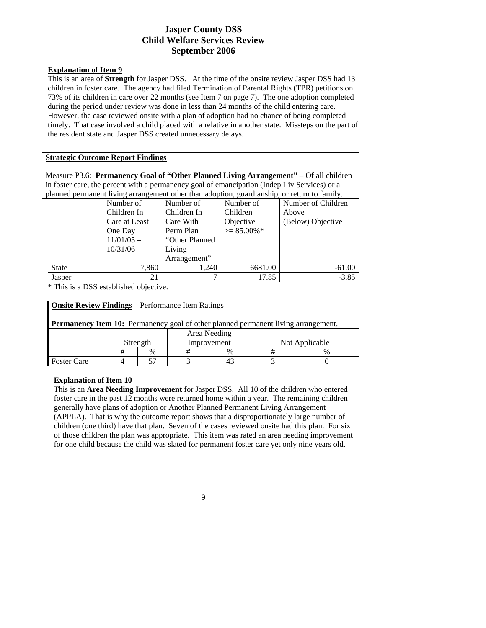#### **Explanation of Item 9**

This is an area of **Strength** for Jasper DSS. At the time of the onsite review Jasper DSS had 13 children in foster care. The agency had filed Termination of Parental Rights (TPR) petitions on 73% of its children in care over 22 months (see Item 7 on page 7). The one adoption completed during the period under review was done in less than 24 months of the child entering care. However, the case reviewed onsite with a plan of adoption had no chance of being completed timely. That case involved a child placed with a relative in another state. Missteps on the part of the resident state and Jasper DSS created unnecessary delays.

#### **Strategic Outcome Report Findings**

Measure P3.6: **Permanency Goal of "Other Planned Living Arrangement"** – Of all children in foster care, the percent with a permanency goal of emancipation (Indep Liv Services) or a planned permanent living arrangement other than adoption, guardianship, or return to family.

|              | pianited permanent in this arrangement offici than acoption, gaarumming, or retain to ranniy, |                 |                |                    |  |  |  |  |
|--------------|-----------------------------------------------------------------------------------------------|-----------------|----------------|--------------------|--|--|--|--|
|              | Number of                                                                                     | Number of       | Number of      | Number of Children |  |  |  |  |
|              | Children In                                                                                   | Children In     | Children       | Above              |  |  |  |  |
|              | Care at Least                                                                                 | Care With       | Objective      | (Below) Objective  |  |  |  |  |
|              | One Day                                                                                       | Perm Plan       | $>= 85.00\%$ * |                    |  |  |  |  |
|              | $11/01/05$ –                                                                                  | "Other Planned" |                |                    |  |  |  |  |
|              | 10/31/06                                                                                      | Living          |                |                    |  |  |  |  |
|              |                                                                                               | Arrangement"    |                |                    |  |  |  |  |
| <b>State</b> | 7,860                                                                                         | 1.240           | 6681.00        | $-61.00$           |  |  |  |  |
| Jasper       | 21                                                                                            | 7               | 17.85          | $-3.85$            |  |  |  |  |

\* This is a DSS established objective.

| <b>Onsite Review Findings</b> Performance Item Ratings                                    |  |  |  |  |  |  |  |  |  |
|-------------------------------------------------------------------------------------------|--|--|--|--|--|--|--|--|--|
| <b>Permanency Item 10:</b> Permanency goal of other planned permanent living arrangement. |  |  |  |  |  |  |  |  |  |
| Area Needing                                                                              |  |  |  |  |  |  |  |  |  |
| Improvement<br>Not Applicable<br>Strength                                                 |  |  |  |  |  |  |  |  |  |
| #<br>$\frac{0}{0}$<br>$\%$<br>$\%$                                                        |  |  |  |  |  |  |  |  |  |
| <b>Foster Care</b>                                                                        |  |  |  |  |  |  |  |  |  |

#### **Explanation of Item 10**

This is an **Area Needing Improvement** for Jasper DSS. All 10 of the children who entered foster care in the past 12 months were returned home within a year. The remaining children generally have plans of adoption or Another Planned Permanent Living Arrangement (APPLA). That is why the outcome report shows that a disproportionately large number of children (one third) have that plan. Seven of the cases reviewed onsite had this plan. For six of those children the plan was appropriate. This item was rated an area needing improvement for one child because the child was slated for permanent foster care yet only nine years old.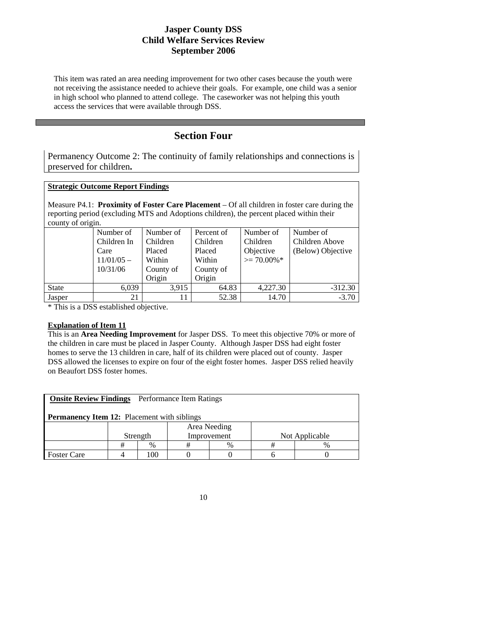This item was rated an area needing improvement for two other cases because the youth were not receiving the assistance needed to achieve their goals. For example, one child was a senior in high school who planned to attend college. The caseworker was not helping this youth access the services that were available through DSS.

# **Section Four**

Permanency Outcome 2: The continuity of family relationships and connections is preserved for children**.** 

#### **Strategic Outcome Report Findings**

Measure P4.1: **Proximity of Foster Care Placement** – Of all children in foster care during the reporting period (excluding MTS and Adoptions children), the percent placed within their county of origin.

|              | Number of<br>Children In | Number of<br>Children | Percent of<br>Children | Number of<br>Children | Number of<br>Children Above |
|--------------|--------------------------|-----------------------|------------------------|-----------------------|-----------------------------|
|              | Care                     | Placed                | Placed                 | Objective             | (Below) Objective           |
|              | $11/01/05$ –             | Within                | Within                 | $\geq$ 70.00%*        |                             |
|              | 10/31/06                 | County of             | County of              |                       |                             |
|              |                          | Origin                | Origin                 |                       |                             |
| <b>State</b> | 6,039                    | 3.915                 | 64.83                  | 4,227.30              | $-312.30$                   |
| Jasper       | 21                       |                       | 52.38                  | 14.70                 | $-3.70$                     |

\* This is a DSS established objective.

#### **Explanation of Item 11**

This is an **Area Needing Improvement** for Jasper DSS. To meet this objective 70% or more of the children in care must be placed in Jasper County. Although Jasper DSS had eight foster homes to serve the 13 children in care, half of its children were placed out of county. Jasper DSS allowed the licenses to expire on four of the eight foster homes. Jasper DSS relied heavily on Beaufort DSS foster homes.

| <b>Onsite Review Findings</b> Performance Item Ratings |                                           |                |  |  |  |  |  |  |  |  |
|--------------------------------------------------------|-------------------------------------------|----------------|--|--|--|--|--|--|--|--|
| <b>Permanency Item 12:</b> Placement with siblings     |                                           |                |  |  |  |  |  |  |  |  |
| Area Needing                                           |                                           |                |  |  |  |  |  |  |  |  |
|                                                        | Not Applicable<br>Improvement<br>Strength |                |  |  |  |  |  |  |  |  |
| #<br>$\frac{0}{0}$<br>$\%$<br>$\%$                     |                                           |                |  |  |  |  |  |  |  |  |
| <b>Foster Care</b>                                     |                                           | 0 <sup>0</sup> |  |  |  |  |  |  |  |  |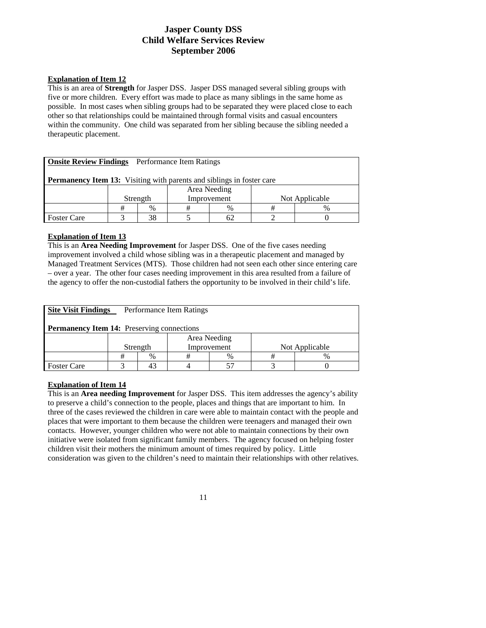#### **Explanation of Item 12**

This is an area of **Strength** for Jasper DSS. Jasper DSS managed several sibling groups with five or more children. Every effort was made to place as many siblings in the same home as possible. In most cases when sibling groups had to be separated they were placed close to each other so that relationships could be maintained through formal visits and casual encounters within the community. One child was separated from her sibling because the sibling needed a therapeutic placement.

| <b>Onsite Review Findings</b> Performance Item Ratings                       |  |    |  |    |  |  |  |  |
|------------------------------------------------------------------------------|--|----|--|----|--|--|--|--|
| <b>Permanency Item 13:</b> Visiting with parents and siblings in foster care |  |    |  |    |  |  |  |  |
| Area Needing                                                                 |  |    |  |    |  |  |  |  |
| Improvement<br>Not Applicable<br>Strength                                    |  |    |  |    |  |  |  |  |
| #<br>$\%$<br>%<br>$\%$<br>#<br>#                                             |  |    |  |    |  |  |  |  |
| <b>Foster Care</b>                                                           |  | 38 |  | 62 |  |  |  |  |

#### **Explanation of Item 13**

This is an **Area Needing Improvement** for Jasper DSS. One of the five cases needing improvement involved a child whose sibling was in a therapeutic placement and managed by Managed Treatment Services (MTS). Those children had not seen each other since entering care – over a year. The other four cases needing improvement in this area resulted from a failure of the agency to offer the non-custodial fathers the opportunity to be involved in their child's life.

| <b>Site Visit Findings</b>                        | Performance Item Ratings |                                           |  |  |  |  |  |  |
|---------------------------------------------------|--------------------------|-------------------------------------------|--|--|--|--|--|--|
| <b>Permanency Item 14:</b> Preserving connections |                          |                                           |  |  |  |  |  |  |
|                                                   | Area Needing             |                                           |  |  |  |  |  |  |
|                                                   |                          | Not Applicable<br>Improvement<br>Strength |  |  |  |  |  |  |
|                                                   |                          | %<br>$\%$<br>$\%$                         |  |  |  |  |  |  |
| <b>Foster Care</b>                                |                          |                                           |  |  |  |  |  |  |

#### **Explanation of Item 14**

This is an **Area needing Improvement** for Jasper DSS. This item addresses the agency's ability to preserve a child's connection to the people, places and things that are important to him. In three of the cases reviewed the children in care were able to maintain contact with the people and places that were important to them because the children were teenagers and managed their own contacts. However, younger children who were not able to maintain connections by their own initiative were isolated from significant family members. The agency focused on helping foster children visit their mothers the minimum amount of times required by policy. Little consideration was given to the children's need to maintain their relationships with other relatives.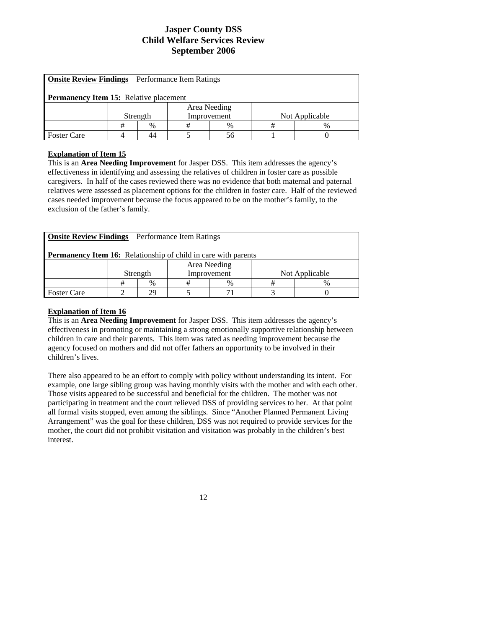| <b>Onsite Review Findings</b> Performance Item Ratings |                                           |  |  |  |  |  |  |  |  |  |
|--------------------------------------------------------|-------------------------------------------|--|--|--|--|--|--|--|--|--|
| <b>Permanency Item 15:</b> Relative placement          |                                           |  |  |  |  |  |  |  |  |  |
| Area Needing                                           |                                           |  |  |  |  |  |  |  |  |  |
|                                                        | Improvement<br>Not Applicable<br>Strength |  |  |  |  |  |  |  |  |  |
| #<br>$\%$<br>%<br>%<br>#<br>#                          |                                           |  |  |  |  |  |  |  |  |  |
| <b>Foster Care</b><br>44<br>56                         |                                           |  |  |  |  |  |  |  |  |  |

#### **Explanation of Item 15**

This is an **Area Needing Improvement** for Jasper DSS. This item addresses the agency's effectiveness in identifying and assessing the relatives of children in foster care as possible caregivers. In half of the cases reviewed there was no evidence that both maternal and paternal relatives were assessed as placement options for the children in foster care. Half of the reviewed cases needed improvement because the focus appeared to be on the mother's family, to the exclusion of the father's family.

| <b>Onsite Review Findings</b> Performance Item Ratings |                                                                       |  |  |  |  |  |  |  |  |  |
|--------------------------------------------------------|-----------------------------------------------------------------------|--|--|--|--|--|--|--|--|--|
|                                                        | <b>Permanency Item 16:</b> Relationship of child in care with parents |  |  |  |  |  |  |  |  |  |
| Area Needing                                           |                                                                       |  |  |  |  |  |  |  |  |  |
|                                                        | Not Applicable<br>Improvement<br>Strength                             |  |  |  |  |  |  |  |  |  |
| $\%$<br>#<br>$\frac{0}{0}$<br>$\frac{0}{0}$<br>#<br>#  |                                                                       |  |  |  |  |  |  |  |  |  |
| 29<br><b>Foster Care</b>                               |                                                                       |  |  |  |  |  |  |  |  |  |

#### **Explanation of Item 16**

This is an **Area Needing Improvement** for Jasper DSS. This item addresses the agency's effectiveness in promoting or maintaining a strong emotionally supportive relationship between children in care and their parents. This item was rated as needing improvement because the agency focused on mothers and did not offer fathers an opportunity to be involved in their children's lives.

There also appeared to be an effort to comply with policy without understanding its intent. For example, one large sibling group was having monthly visits with the mother and with each other. Those visits appeared to be successful and beneficial for the children. The mother was not participating in treatment and the court relieved DSS of providing services to her. At that point all formal visits stopped, even among the siblings. Since "Another Planned Permanent Living Arrangement" was the goal for these children, DSS was not required to provide services for the mother, the court did not prohibit visitation and visitation was probably in the children's best interest.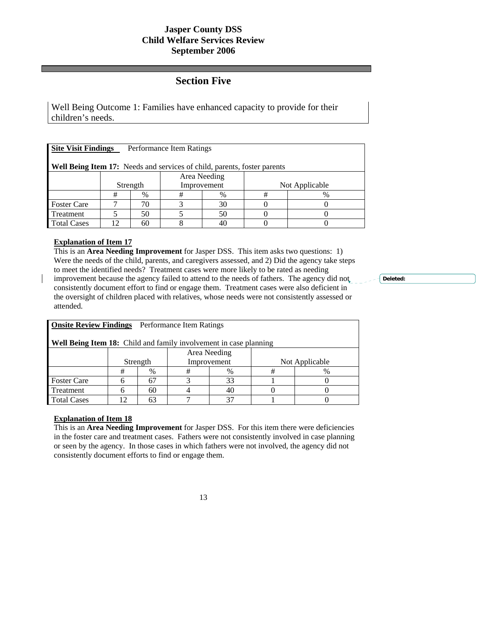## **Section Five**

Well Being Outcome 1: Families have enhanced capacity to provide for their children's needs.

| <b>Site Visit Findings</b><br>Performance Item Ratings                          |              |      |             |      |                |               |  |  |
|---------------------------------------------------------------------------------|--------------|------|-------------|------|----------------|---------------|--|--|
| <b>Well Being Item 17:</b> Needs and services of child, parents, foster parents |              |      |             |      |                |               |  |  |
|                                                                                 | Area Needing |      |             |      |                |               |  |  |
|                                                                                 | Strength     |      | Improvement |      | Not Applicable |               |  |  |
|                                                                                 | #            | $\%$ | #           | $\%$ | #              | $\frac{0}{0}$ |  |  |
| <b>Foster Care</b>                                                              |              | 70   |             | 30   |                |               |  |  |
| Treatment                                                                       |              | 50   |             | 50   |                |               |  |  |
| <b>Total Cases</b>                                                              | 12           | 60   |             |      |                |               |  |  |

### **Explanation of Item 17**

This is an **Area Needing Improvement** for Jasper DSS. This item asks two questions: 1) Were the needs of the child, parents, and caregivers assessed, and 2) Did the agency take steps to meet the identified needs? Treatment cases were more likely to be rated as needing improvement because the agency failed to attend to the needs of fathers. The agency did not consistently document effort to find or engage them. Treatment cases were also deficient in the oversight of children placed with relatives, whose needs were not consistently assessed or attended.

| <b>Onsite Review Findings</b> Performance Item Ratings            |          |      |             |      |                |      |  |  |  |
|-------------------------------------------------------------------|----------|------|-------------|------|----------------|------|--|--|--|
| Well Being Item 18: Child and family involvement in case planning |          |      |             |      |                |      |  |  |  |
| Area Needing                                                      |          |      |             |      |                |      |  |  |  |
|                                                                   | Strength |      | Improvement |      | Not Applicable |      |  |  |  |
|                                                                   | #        | $\%$ | #           | $\%$ | #              | $\%$ |  |  |  |
| <b>Foster Care</b>                                                |          | 67   |             | 33   |                |      |  |  |  |
| Treatment                                                         |          | 60   |             | 40   |                |      |  |  |  |
| 37<br><b>Total Cases</b><br>12<br>63                              |          |      |             |      |                |      |  |  |  |
|                                                                   |          |      |             |      |                |      |  |  |  |

#### **Explanation of Item 18**

This is an **Area Needing Improvement** for Jasper DSS. For this item there were deficiencies in the foster care and treatment cases. Fathers were not consistently involved in case planning or seen by the agency. In those cases in which fathers were not involved, the agency did not consistently document efforts to find or engage them.

**Deleted:**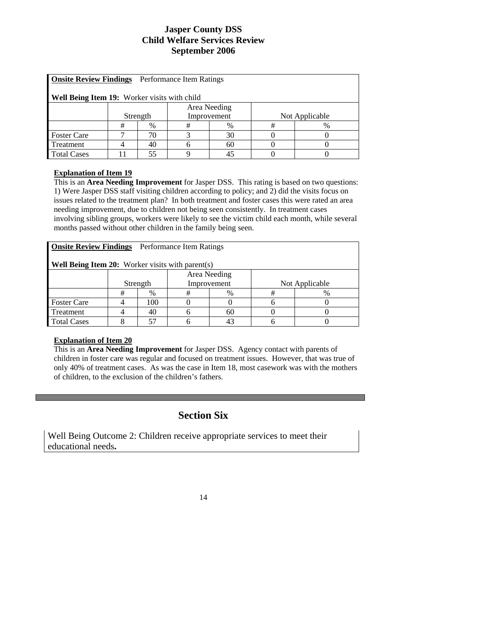| Onsite Review Findings Performance Item Ratings |   |          |             |      |                |   |  |  |  |
|-------------------------------------------------|---|----------|-------------|------|----------------|---|--|--|--|
|                                                 |   |          |             |      |                |   |  |  |  |
|                                                 |   |          |             |      |                |   |  |  |  |
| Well Being Item 19: Worker visits with child    |   |          |             |      |                |   |  |  |  |
| Area Needing                                    |   |          |             |      |                |   |  |  |  |
|                                                 |   |          |             |      |                |   |  |  |  |
|                                                 |   | Strength | Improvement |      | Not Applicable |   |  |  |  |
|                                                 |   |          |             |      | #              |   |  |  |  |
|                                                 | # | $\%$     | #           | $\%$ |                | % |  |  |  |
| <b>Foster Care</b>                              |   | 70       |             | 30   |                |   |  |  |  |
| Treatment                                       |   | 40       |             | 60   |                |   |  |  |  |
| <b>Total Cases</b>                              |   | 55       |             | 45   |                |   |  |  |  |

### **Explanation of Item 19**

This is an **Area Needing Improvement** for Jasper DSS. This rating is based on two questions: 1) Were Jasper DSS staff visiting children according to policy; and 2) did the visits focus on issues related to the treatment plan? In both treatment and foster cases this were rated an area needing improvement, due to children not being seen consistently. In treatment cases involving sibling groups, workers were likely to see the victim child each month, while several months passed without other children in the family being seen.

| <b>Onsite Review Findings</b> Performance Item Ratings  |              |     |             |    |                |   |  |  |
|---------------------------------------------------------|--------------|-----|-------------|----|----------------|---|--|--|
| <b>Well Being Item 20:</b> Worker visits with parent(s) |              |     |             |    |                |   |  |  |
|                                                         | Area Needing |     |             |    |                |   |  |  |
|                                                         | Strength     |     | Improvement |    | Not Applicable |   |  |  |
|                                                         | #            | %   | #           | %  | #              | % |  |  |
| <b>Foster Care</b>                                      |              | 100 |             |    |                |   |  |  |
| Treatment                                               |              | 40  |             | 60 |                |   |  |  |
| <b>Total Cases</b>                                      |              |     |             |    |                |   |  |  |

### **Explanation of Item 20**

This is an **Area Needing Improvement** for Jasper DSS. Agency contact with parents of children in foster care was regular and focused on treatment issues. However, that was true of only 40% of treatment cases. As was the case in Item 18, most casework was with the mothers of children, to the exclusion of the children's fathers.

# **Section Six**

Well Being Outcome 2: Children receive appropriate services to meet their educational needs**.**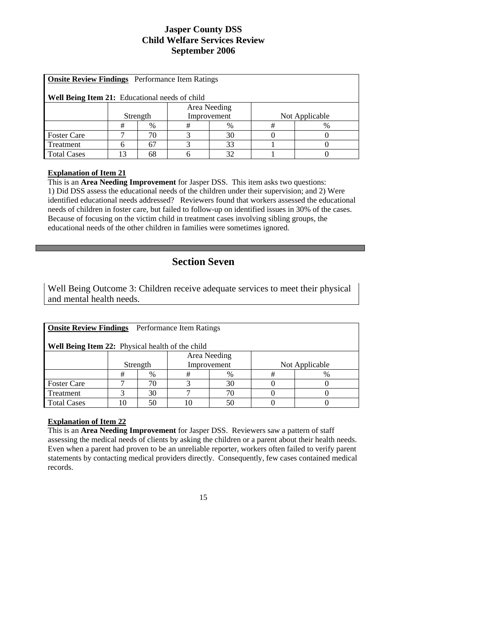| Onsite Review Findings Performance Item Ratings |              |      |             |      |                |   |  |  |  |
|-------------------------------------------------|--------------|------|-------------|------|----------------|---|--|--|--|
| Well Being Item 21: Educational needs of child  |              |      |             |      |                |   |  |  |  |
|                                                 | Area Needing |      |             |      |                |   |  |  |  |
|                                                 | Strength     |      | Improvement |      | Not Applicable |   |  |  |  |
|                                                 | #            | $\%$ | #           | $\%$ | #              | % |  |  |  |
| <b>Foster Care</b>                              |              | 70   |             | 30   |                |   |  |  |  |
| Treatment                                       |              | 67   |             | 33   |                |   |  |  |  |
| <b>Total Cases</b>                              | 13           | 68   |             | 32   |                |   |  |  |  |

#### **Explanation of Item 21**

This is an **Area Needing Improvement** for Jasper DSS. This item asks two questions: 1) Did DSS assess the educational needs of the children under their supervision; and 2) Were identified educational needs addressed? Reviewers found that workers assessed the educational needs of children in foster care, but failed to follow-up on identified issues in 30% of the cases. Because of focusing on the victim child in treatment cases involving sibling groups, the educational needs of the other children in families were sometimes ignored.

# **Section Seven**

Well Being Outcome 3: Children receive adequate services to meet their physical and mental health needs.

| <b>Onsite Review Findings</b> Performance Item Ratings<br><b>Well Being Item 22:</b> Physical health of the child |          |      |             |    |                |      |  |  |
|-------------------------------------------------------------------------------------------------------------------|----------|------|-------------|----|----------------|------|--|--|
| Area Needing                                                                                                      |          |      |             |    |                |      |  |  |
|                                                                                                                   | Strength |      | Improvement |    | Not Applicable |      |  |  |
|                                                                                                                   | #        | $\%$ | #           | %  | #              | $\%$ |  |  |
| <b>Foster Care</b>                                                                                                |          | 70   |             | 30 |                |      |  |  |
| Treatment                                                                                                         |          | 30   |             | 70 |                |      |  |  |
| <b>Total Cases</b>                                                                                                | 10       | 50   | ١C          | 50 |                |      |  |  |

#### **Explanation of Item 22**

This is an **Area Needing Improvement** for Jasper DSS. Reviewers saw a pattern of staff assessing the medical needs of clients by asking the children or a parent about their health needs. Even when a parent had proven to be an unreliable reporter, workers often failed to verify parent statements by contacting medical providers directly. Consequently, few cases contained medical records.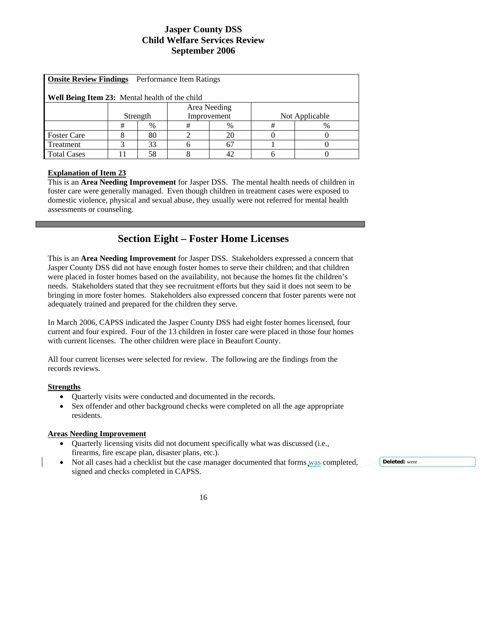| <b>Onsite Review Findings</b> Performance Item Ratings |          |              |             |    |                |   |  |  |  |
|--------------------------------------------------------|----------|--------------|-------------|----|----------------|---|--|--|--|
|                                                        |          |              |             |    |                |   |  |  |  |
|                                                        |          |              |             |    |                |   |  |  |  |
| <b>Well Being Item 23:</b> Mental health of the child  |          |              |             |    |                |   |  |  |  |
|                                                        |          |              |             |    |                |   |  |  |  |
|                                                        |          | Area Needing |             |    |                |   |  |  |  |
|                                                        | Strength |              | Improvement |    | Not Applicable |   |  |  |  |
|                                                        |          |              |             |    |                |   |  |  |  |
|                                                        | #        | %            | #           | %  | #              | % |  |  |  |
| <b>Foster Care</b>                                     |          | 80           |             | 20 |                |   |  |  |  |
| Treatment                                              | 2        | 33           | h           | 67 |                |   |  |  |  |
| <b>Total Cases</b>                                     |          | 58           |             | 42 |                |   |  |  |  |

#### **Explanation of Item 23**

This is an **Area Needing Improvement** for Jasper DSS. The mental health needs of children in foster care were generally managed. Even though children in treatment cases were exposed to domestic violence, physical and sexual abuse, they usually were not referred for mental health assessments or counseling.

# **Section Eight – Foster Home Licenses**

This is an **Area Needing Improvement** for Jasper DSS. Stakeholders expressed a concern that Jasper County DSS did not have enough foster homes to serve their children; and that children were placed in foster homes based on the availability, not because the homes fit the children's needs. Stakeholders stated that they see recruitment efforts but they said it does not seem to be bringing in more foster homes. Stakeholders also expressed concern that foster parents were not adequately trained and prepared for the children they serve.

In March 2006, CAPSS indicated the Jasper County DSS had eight foster homes licensed, four current and four expired. Four of the 13 children in foster care were placed in those four homes with current licenses. The other children were place in Beaufort County.

All four current licenses were selected for review. The following are the findings from the records reviews.

#### **Strengths**

- Quarterly visits were conducted and documented in the records.
- Sex offender and other background checks were completed on all the age appropriate residents.

#### **Areas Needing Improvement**

- Quarterly licensing visits did not document specifically what was discussed (i.e., firearms, fire escape plan, disaster plans, etc.).
- Not all cases had a checklist but the case manager documented that forms was completed, signed and checks completed in CAPSS.

**Deleted:** were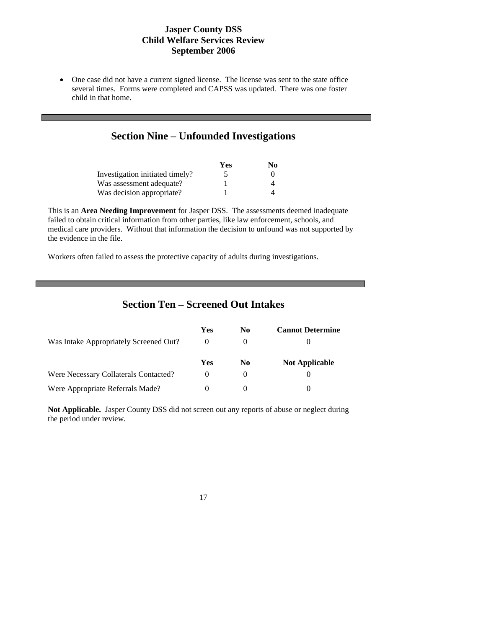• One case did not have a current signed license. The license was sent to the state office several times. Forms were completed and CAPSS was updated. There was one foster child in that home.

## **Section Nine – Unfounded Investigations**

|                                 | Yes | N0 |
|---------------------------------|-----|----|
| Investigation initiated timely? |     |    |
| Was assessment adequate?        |     |    |
| Was decision appropriate?       |     |    |

This is an **Area Needing Improvement** for Jasper DSS. The assessments deemed inadequate failed to obtain critical information from other parties, like law enforcement, schools, and medical care providers. Without that information the decision to unfound was not supported by the evidence in the file.

Workers often failed to assess the protective capacity of adults during investigations.

## **Section Ten – Screened Out Intakes**

|                                        | Yes | No.      | <b>Cannot Determine</b> |
|----------------------------------------|-----|----------|-------------------------|
| Was Intake Appropriately Screened Out? |     |          |                         |
|                                        | Yes | N0       | <b>Not Applicable</b>   |
| Were Necessary Collaterals Contacted?  |     | $\theta$ |                         |
| Were Appropriate Referrals Made?       |     |          |                         |

**Not Applicable.** Jasper County DSS did not screen out any reports of abuse or neglect during the period under review.